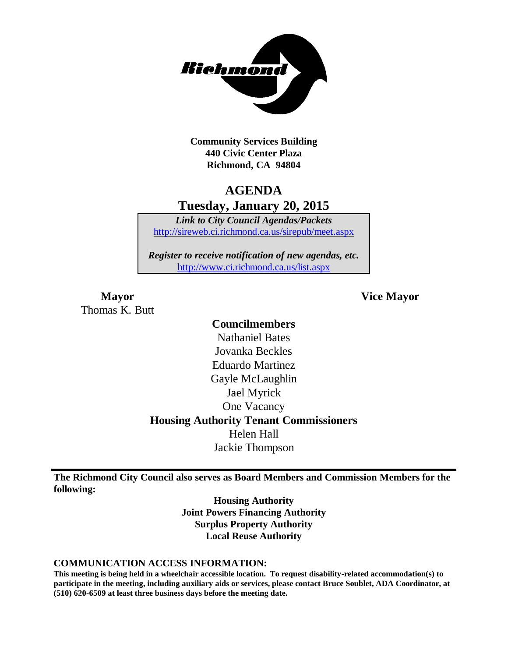

**Community Services Building 440 Civic Center Plaza Richmond, CA 94804**

# **AGENDA Tuesday, January 20, 2015**

*Link to City Council Agendas/Packets* <http://sireweb.ci.richmond.ca.us/sirepub/meet.aspx>

*Register to receive notification of new agendas, etc.* <http://www.ci.richmond.ca.us/list.aspx>

Thomas K. Butt

**Mayor Vice Mayor**

## **Councilmembers**

Nathaniel Bates Jovanka Beckles Eduardo Martinez Gayle McLaughlin Jael Myrick One Vacancy **Housing Authority Tenant Commissioners** Helen Hall Jackie Thompson

**The Richmond City Council also serves as Board Members and Commission Members for the following:**

> **Housing Authority Joint Powers Financing Authority Surplus Property Authority Local Reuse Authority**

#### **COMMUNICATION ACCESS INFORMATION:**

**This meeting is being held in a wheelchair accessible location. To request disability-related accommodation(s) to participate in the meeting, including auxiliary aids or services, please contact Bruce Soublet, ADA Coordinator, at (510) 620-6509 at least three business days before the meeting date.**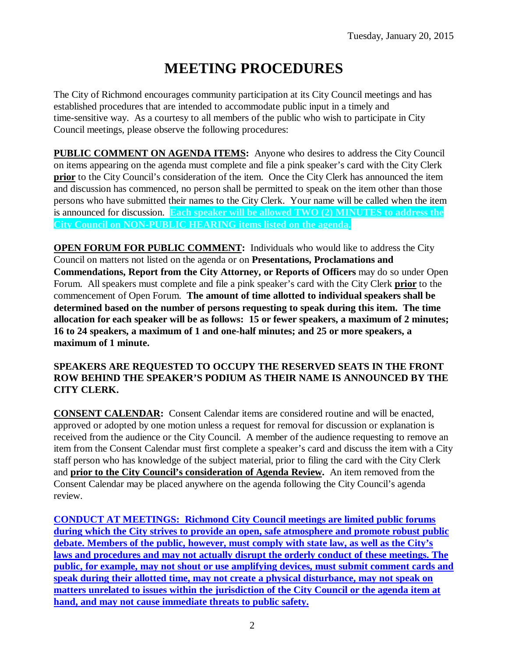# **MEETING PROCEDURES**

The City of Richmond encourages community participation at its City Council meetings and has established procedures that are intended to accommodate public input in a timely and time-sensitive way. As a courtesy to all members of the public who wish to participate in City Council meetings, please observe the following procedures:

**PUBLIC COMMENT ON AGENDA ITEMS:** Anyone who desires to address the City Council on items appearing on the agenda must complete and file a pink speaker's card with the City Clerk **prior** to the City Council's consideration of the item. Once the City Clerk has announced the item and discussion has commenced, no person shall be permitted to speak on the item other than those persons who have submitted their names to the City Clerk. Your name will be called when the item is announced for discussion. **Each speaker will be allowed TWO (2) MINUTES to address the City Council on NON-PUBLIC HEARING items listed on the agenda.**

**OPEN FORUM FOR PUBLIC COMMENT:** Individuals who would like to address the City Council on matters not listed on the agenda or on **Presentations, Proclamations and Commendations, Report from the City Attorney, or Reports of Officers** may do so under Open Forum. All speakers must complete and file a pink speaker's card with the City Clerk **prior** to the commencement of Open Forum. **The amount of time allotted to individual speakers shall be determined based on the number of persons requesting to speak during this item. The time allocation for each speaker will be as follows: 15 or fewer speakers, a maximum of 2 minutes; 16 to 24 speakers, a maximum of 1 and one-half minutes; and 25 or more speakers, a maximum of 1 minute.**

#### **SPEAKERS ARE REQUESTED TO OCCUPY THE RESERVED SEATS IN THE FRONT ROW BEHIND THE SPEAKER'S PODIUM AS THEIR NAME IS ANNOUNCED BY THE CITY CLERK.**

**CONSENT CALENDAR:** Consent Calendar items are considered routine and will be enacted, approved or adopted by one motion unless a request for removal for discussion or explanation is received from the audience or the City Council. A member of the audience requesting to remove an item from the Consent Calendar must first complete a speaker's card and discuss the item with a City staff person who has knowledge of the subject material, prior to filing the card with the City Clerk and **prior to the City Council's consideration of Agenda Review.** An item removed from the Consent Calendar may be placed anywhere on the agenda following the City Council's agenda review.

**CONDUCT AT MEETINGS: Richmond City Council meetings are limited public forums during which the City strives to provide an open, safe atmosphere and promote robust public debate. Members of the public, however, must comply with state law, as well as the City's laws and procedures and may not actually disrupt the orderly conduct of these meetings. The public, for example, may not shout or use amplifying devices, must submit comment cards and speak during their allotted time, may not create a physical disturbance, may not speak on matters unrelated to issues within the jurisdiction of the City Council or the agenda item at hand, and may not cause immediate threats to public safety.**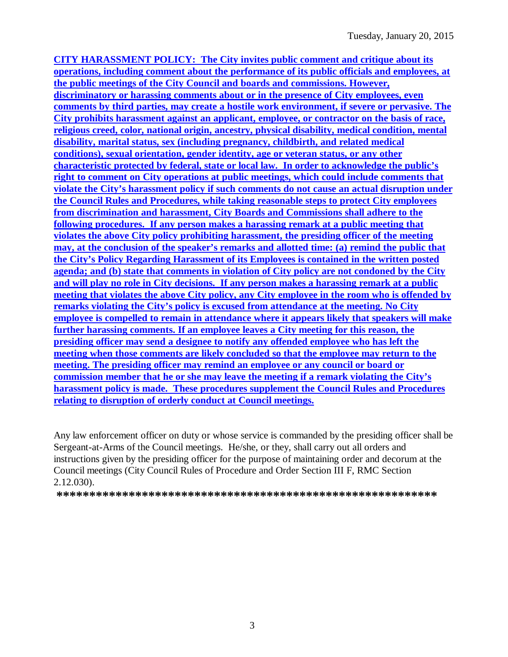**CITY HARASSMENT POLICY: The City invites public comment and critique about its operations, including comment about the performance of its public officials and employees, at the public meetings of the City Council and boards and commissions. However, discriminatory or harassing comments about or in the presence of City employees, even comments by third parties, may create a hostile work environment, if severe or pervasive. The City prohibits harassment against an applicant, employee, or contractor on the basis of race, religious creed, color, national origin, ancestry, physical disability, medical condition, mental disability, marital status, sex (including pregnancy, childbirth, and related medical conditions), sexual orientation, gender identity, age or veteran status, or any other characteristic protected by federal, state or local law. In order to acknowledge the public's right to comment on City operations at public meetings, which could include comments that violate the City's harassment policy if such comments do not cause an actual disruption under the Council Rules and Procedures, while taking reasonable steps to protect City employees from discrimination and harassment, City Boards and Commissions shall adhere to the following procedures. If any person makes a harassing remark at a public meeting that violates the above City policy prohibiting harassment, the presiding officer of the meeting may, at the conclusion of the speaker's remarks and allotted time: (a) remind the public that the City's Policy Regarding Harassment of its Employees is contained in the written posted agenda; and (b) state that comments in violation of City policy are not condoned by the City and will play no role in City decisions. If any person makes a harassing remark at a public meeting that violates the above City policy, any City employee in the room who is offended by remarks violating the City's policy is excused from attendance at the meeting. No City employee is compelled to remain in attendance where it appears likely that speakers will make further harassing comments. If an employee leaves a City meeting for this reason, the presiding officer may send a designee to notify any offended employee who has left the meeting when those comments are likely concluded so that the employee may return to the meeting. The presiding officer may remind an employee or any council or board or commission member that he or she may leave the meeting if a remark violating the City's harassment policy is made. These procedures supplement the Council Rules and Procedures relating to disruption of orderly conduct at Council meetings.**

Any law enforcement officer on duty or whose service is commanded by the presiding officer shall be Sergeant-at-Arms of the Council meetings. He/she, or they, shall carry out all orders and instructions given by the presiding officer for the purpose of maintaining order and decorum at the Council meetings (City Council Rules of Procedure and Order Section III F, RMC Section 2.12.030).

**\*\*\*\*\*\*\*\*\*\*\*\*\*\*\*\*\*\*\*\*\*\*\*\*\*\*\*\*\*\*\*\*\*\*\*\*\*\*\*\*\*\*\*\*\*\*\*\*\*\*\*\*\*\*\*\*\*\***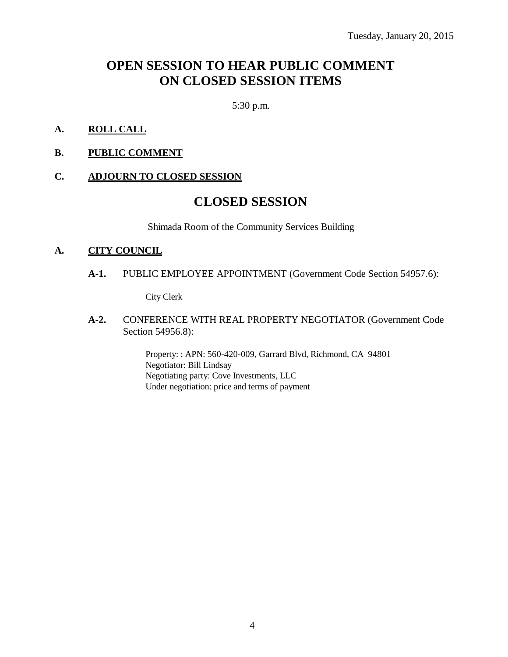# **OPEN SESSION TO HEAR PUBLIC COMMENT ON CLOSED SESSION ITEMS**

5:30 p.m.

- **A. ROLL CALL**
- **B. PUBLIC COMMENT**

#### **C. ADJOURN TO CLOSED SESSION**

# **CLOSED SESSION**

Shimada Room of the Community Services Building

#### **A. CITY COUNCIL**

**A-1.** PUBLIC EMPLOYEE APPOINTMENT (Government Code Section 54957.6):

City Clerk

**A-2.** CONFERENCE WITH REAL PROPERTY NEGOTIATOR (Government Code Section 54956.8):

> Property: : APN: 560-420-009, Garrard Blvd, Richmond, CA 94801 Negotiator: Bill Lindsay Negotiating party: Cove Investments, LLC Under negotiation: price and terms of payment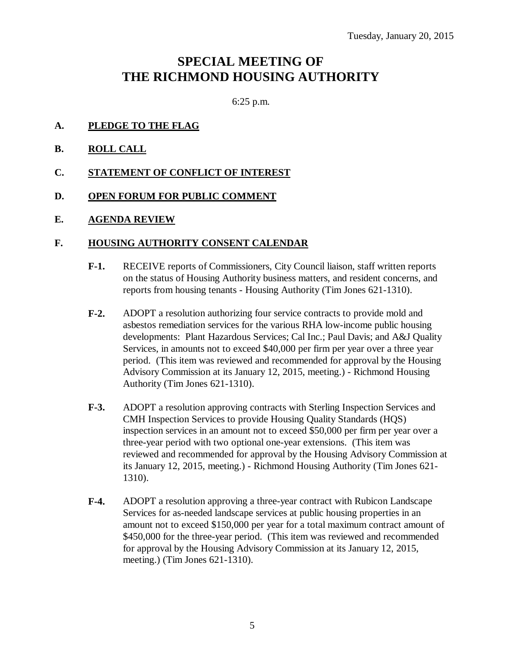# **SPECIAL MEETING OF THE RICHMOND HOUSING AUTHORITY**

6:25 p.m.

- **A. PLEDGE TO THE FLAG**
- **B. ROLL CALL**
- **C. STATEMENT OF CONFLICT OF INTEREST**
- **D. OPEN FORUM FOR PUBLIC COMMENT**
- **E. AGENDA REVIEW**

#### **F. HOUSING AUTHORITY CONSENT CALENDAR**

- **F-1.** RECEIVE reports of Commissioners, City Council liaison, staff written reports on the status of Housing Authority business matters, and resident concerns, and reports from housing tenants - Housing Authority (Tim Jones 621-1310).
- **F-2.** ADOPT a resolution authorizing four service contracts to provide mold and asbestos remediation services for the various RHA low-income public housing developments: Plant Hazardous Services; Cal Inc.; Paul Davis; and A&J Quality Services, in amounts not to exceed \$40,000 per firm per year over a three year period. (This item was reviewed and recommended for approval by the Housing Advisory Commission at its January 12, 2015, meeting.) - Richmond Housing Authority (Tim Jones 621-1310).
- **F-3.** ADOPT a resolution approving contracts with Sterling Inspection Services and CMH Inspection Services to provide Housing Quality Standards (HQS) inspection services in an amount not to exceed \$50,000 per firm per year over a three-year period with two optional one-year extensions. (This item was reviewed and recommended for approval by the Housing Advisory Commission at its January 12, 2015, meeting.) - Richmond Housing Authority (Tim Jones 621- 1310).
- **F-4.** ADOPT a resolution approving a three-year contract with Rubicon Landscape Services for as-needed landscape services at public housing properties in an amount not to exceed \$150,000 per year for a total maximum contract amount of \$450,000 for the three-year period. (This item was reviewed and recommended for approval by the Housing Advisory Commission at its January 12, 2015, meeting.) (Tim Jones 621-1310).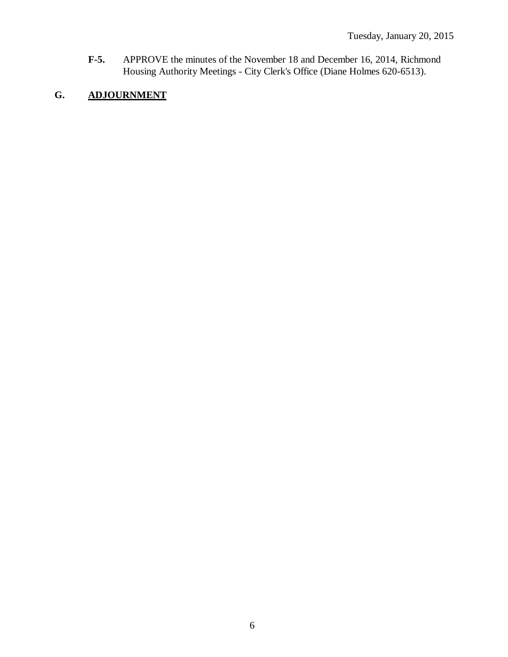**F-5.** APPROVE the minutes of the November 18 and December 16, 2014, Richmond Housing Authority Meetings - City Clerk's Office (Diane Holmes 620-6513).

# **G. ADJOURNMENT**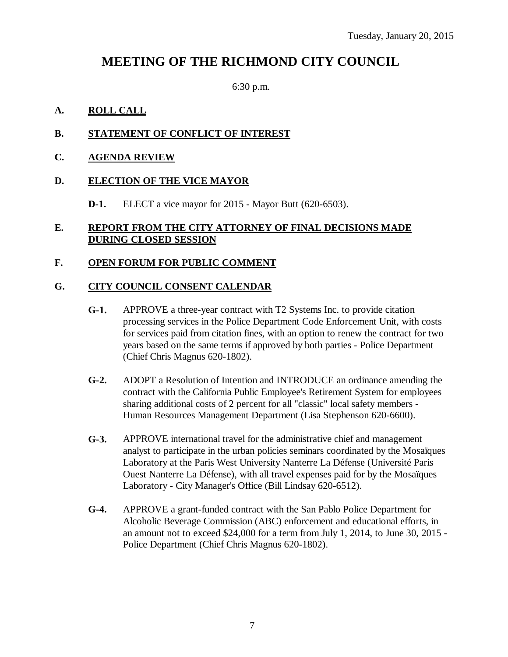# **MEETING OF THE RICHMOND CITY COUNCIL**

6:30 p.m.

#### **A. ROLL CALL**

#### **B. STATEMENT OF CONFLICT OF INTEREST**

#### **C. AGENDA REVIEW**

#### **D. ELECTION OF THE VICE MAYOR**

**D-1.** ELECT a vice mayor for 2015 - Mayor Butt (620-6503).

#### **E. REPORT FROM THE CITY ATTORNEY OF FINAL DECISIONS MADE DURING CLOSED SESSION**

#### **F. OPEN FORUM FOR PUBLIC COMMENT**

#### **G. CITY COUNCIL CONSENT CALENDAR**

- **G-1.** APPROVE a three-year contract with T2 Systems Inc. to provide citation processing services in the Police Department Code Enforcement Unit, with costs for services paid from citation fines, with an option to renew the contract for two years based on the same terms if approved by both parties - Police Department (Chief Chris Magnus 620-1802).
- **G-2.** ADOPT a Resolution of Intention and INTRODUCE an ordinance amending the contract with the California Public Employee's Retirement System for employees sharing additional costs of 2 percent for all "classic" local safety members - Human Resources Management Department (Lisa Stephenson 620-6600).
- **G-3.** APPROVE international travel for the administrative chief and management analyst to participate in the urban policies seminars coordinated by the Mosaïques Laboratory at the Paris West University Nanterre La Défense (Université Paris Ouest Nanterre La Défense), with all travel expenses paid for by the Mosaïques Laboratory - City Manager's Office (Bill Lindsay 620-6512).
- **G-4.** APPROVE a grant-funded contract with the San Pablo Police Department for Alcoholic Beverage Commission (ABC) enforcement and educational efforts, in an amount not to exceed \$24,000 for a term from July 1, 2014, to June 30, 2015 - Police Department (Chief Chris Magnus 620-1802).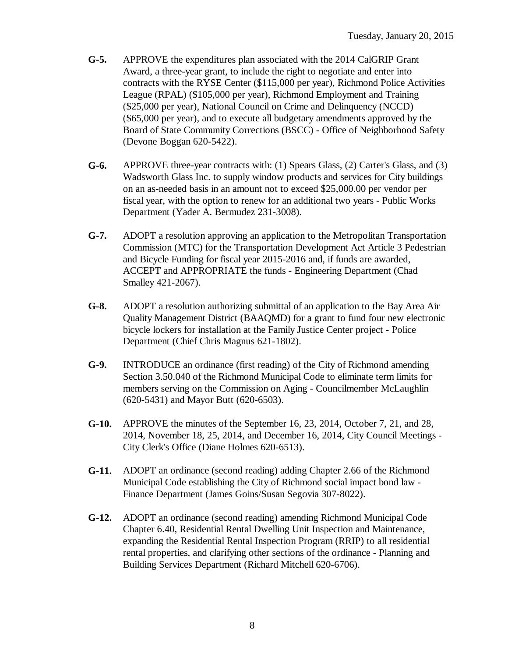- **G-5.** APPROVE the expenditures plan associated with the 2014 CalGRIP Grant Award, a three-year grant, to include the right to negotiate and enter into contracts with the RYSE Center (\$115,000 per year), Richmond Police Activities League (RPAL) (\$105,000 per year), Richmond Employment and Training (\$25,000 per year), National Council on Crime and Delinquency (NCCD) (\$65,000 per year), and to execute all budgetary amendments approved by the Board of State Community Corrections (BSCC) - Office of Neighborhood Safety (Devone Boggan 620-5422).
- **G-6.** APPROVE three-year contracts with: (1) Spears Glass, (2) Carter's Glass, and (3) Wadsworth Glass Inc. to supply window products and services for City buildings on an as-needed basis in an amount not to exceed \$25,000.00 per vendor per fiscal year, with the option to renew for an additional two years - Public Works Department (Yader A. Bermudez 231-3008).
- **G-7.** ADOPT a resolution approving an application to the Metropolitan Transportation Commission (MTC) for the Transportation Development Act Article 3 Pedestrian and Bicycle Funding for fiscal year 2015-2016 and, if funds are awarded, ACCEPT and APPROPRIATE the funds - Engineering Department (Chad Smalley 421-2067).
- **G-8.** ADOPT a resolution authorizing submittal of an application to the Bay Area Air Quality Management District (BAAQMD) for a grant to fund four new electronic bicycle lockers for installation at the Family Justice Center project - Police Department (Chief Chris Magnus 621-1802).
- **G-9.** INTRODUCE an ordinance (first reading) of the City of Richmond amending Section 3.50.040 of the Richmond Municipal Code to eliminate term limits for members serving on the Commission on Aging - Councilmember McLaughlin (620-5431) and Mayor Butt (620-6503).
- **G-10.** APPROVE the minutes of the September 16, 23, 2014, October 7, 21, and 28, 2014, November 18, 25, 2014, and December 16, 2014, City Council Meetings - City Clerk's Office (Diane Holmes 620-6513).
- **G-11.** ADOPT an ordinance (second reading) adding Chapter 2.66 of the Richmond Municipal Code establishing the City of Richmond social impact bond law - Finance Department (James Goins/Susan Segovia 307-8022).
- **G-12.** ADOPT an ordinance (second reading) amending Richmond Municipal Code Chapter 6.40, Residential Rental Dwelling Unit Inspection and Maintenance, expanding the Residential Rental Inspection Program (RRIP) to all residential rental properties, and clarifying other sections of the ordinance - Planning and Building Services Department (Richard Mitchell 620-6706).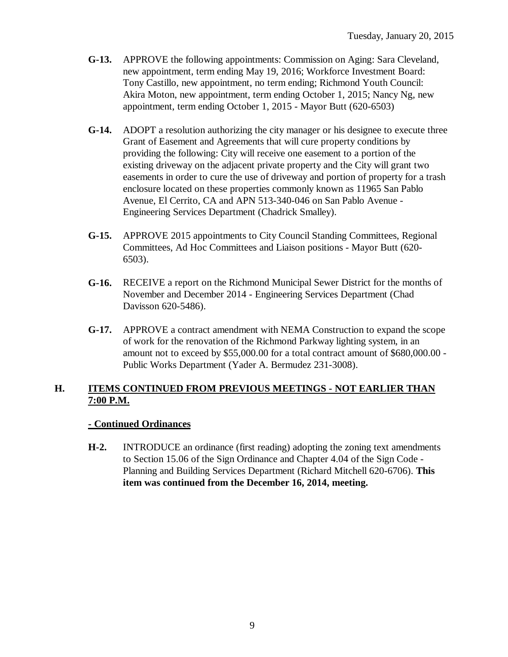- **G-13.** APPROVE the following appointments: Commission on Aging: Sara Cleveland, new appointment, term ending May 19, 2016; Workforce Investment Board: Tony Castillo, new appointment, no term ending; Richmond Youth Council: Akira Moton, new appointment, term ending October 1, 2015; Nancy Ng, new appointment, term ending October 1, 2015 - Mayor Butt (620-6503)
- **G-14.** ADOPT a resolution authorizing the city manager or his designee to execute three Grant of Easement and Agreements that will cure property conditions by providing the following: City will receive one easement to a portion of the existing driveway on the adjacent private property and the City will grant two easements in order to cure the use of driveway and portion of property for a trash enclosure located on these properties commonly known as 11965 San Pablo Avenue, El Cerrito, CA and APN 513-340-046 on San Pablo Avenue - Engineering Services Department (Chadrick Smalley).
- **G-15.** APPROVE 2015 appointments to City Council Standing Committees, Regional Committees, Ad Hoc Committees and Liaison positions - Mayor Butt (620- 6503).
- **G-16.** RECEIVE a report on the Richmond Municipal Sewer District for the months of November and December 2014 - Engineering Services Department (Chad Davisson 620-5486).
- **G-17.** APPROVE a contract amendment with NEMA Construction to expand the scope of work for the renovation of the Richmond Parkway lighting system, in an amount not to exceed by \$55,000.00 for a total contract amount of \$680,000.00 - Public Works Department (Yader A. Bermudez 231-3008).

## **H. ITEMS CONTINUED FROM PREVIOUS MEETINGS - NOT EARLIER THAN 7:00 P.M.**

## **- Continued Ordinances**

**H-2.** INTRODUCE an ordinance (first reading) adopting the zoning text amendments to Section 15.06 of the Sign Ordinance and Chapter 4.04 of the Sign Code - Planning and Building Services Department (Richard Mitchell 620-6706). **This item was continued from the December 16, 2014, meeting.**